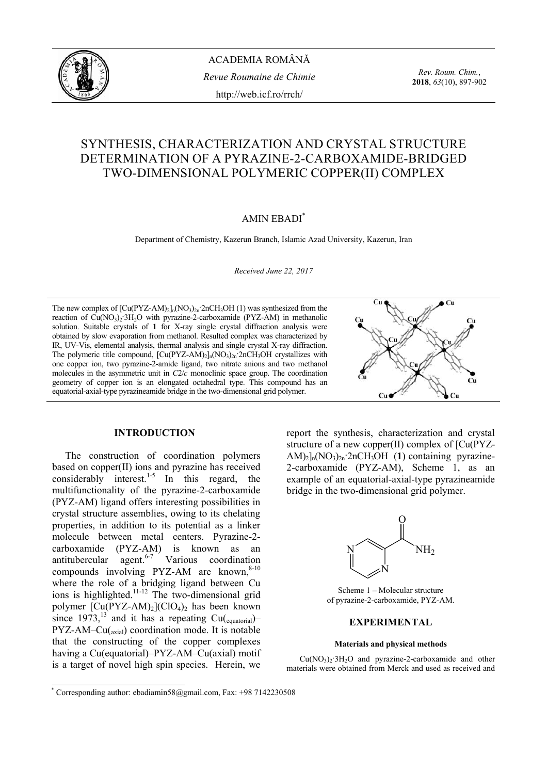

ACADEMIA ROMÂNĂ *Revue Roumaine de Chimie*  http://web.icf.ro/rrch/

*Rev. Roum. Chim.*, **2018**, *63*(10), 897-902

# SYNTHESIS, CHARACTERIZATION AND CRYSTAL STRUCTURE DETERMINATION OF A PYRAZINE-2-CARBOXAMIDE-BRIDGED TWO-DIMENSIONAL POLYMERIC COPPER(II) COMPLEX

# AMIN EBADI\*

Department of Chemistry, Kazerun Branch, Islamic Azad University, Kazerun, Iran

*Received June 22, 2017* 

The new complex of  $[Cu(PYZ-AM)_2]_n(NO_3)_n$ :  $2nCH_3OH$  (1) was synthesized from the reaction of  $Cu(NO<sub>3</sub>)$ <sup>2</sup>  $3H<sub>2</sub>O$  with pyrazine-2-carboxamide (PYZ-AM) in methanolic solution. Suitable crystals of **1** for X-ray single crystal diffraction analysis were obtained by slow evaporation from methanol. Resulted complex was characterized by IR, UV-Vis, elemental analysis, thermal analysis and single crystal X-ray diffraction. The polymeric title compound,  $[Cu(PYZ-AM)_2]_n[NO_3)_2$ <sub>n</sub><sup>2</sup>nCH<sub>3</sub>OH crystallizes with one copper ion, two pyrazine-2-amide ligand, two nitrate anions and two methanol molecules in the asymmetric unit in *C*2/*c* monoclinic space group. The coordination geometry of copper ion is an elongated octahedral type. This compound has an equatorial-axial-type pyrazineamide bridge in the two-dimensional grid polymer.

## **INTRODUCTION\***

The construction of coordination polymers based on copper(II) ions and pyrazine has received considerably interest.<sup>1-5</sup> In this regard, the multifunctionality of the pyrazine-2-carboxamide (PYZ-AM) ligand offers interesting possibilities in crystal structure assemblies, owing to its chelating properties, in addition to its potential as a linker molecule between metal centers. Pyrazine-2 carboxamide (PYZ-AM) is known as an antitubercular  $a$ gent.<sup>6-7</sup> Various coordination compounds involving PYZ-AM are known, $8-10$ where the role of a bridging ligand between Cu ions is highlighted.<sup>11-12</sup> The two-dimensional grid polymer [Cu(PYZ-AM)<sub>2</sub>](ClO<sub>4</sub>)<sub>2</sub> has been known since 1973,<sup>13</sup> and it has a repeating  $Cu$ (<sub>equatorial</sub>)– PYZ-AM–Cu(axial) coordination mode. It is notable that the constructing of the copper complexes having a Cu(equatorial)–PYZ-AM–Cu(axial) motif is a target of novel high spin species. Herein, we

report the synthesis, characterization and crystal structure of a new copper(II) complex of [Cu(PYZ- $AM$ <sub>2</sub> $ln(NO_3)_{2n}$ <sup>2</sup>nCH<sub>3</sub>OH (1) containing pyrazine-2-carboxamide (PYZ-AM), Scheme 1, as an example of an equatorial-axial-type pyrazineamide bridge in the two-dimensional grid polymer.



Scheme 1 – Molecular structure of pyrazine-2-carboxamide, PYZ-AM.

# **EXPERIMENTAL**

#### **Materials and physical methods**

 $Cu(NO<sub>3</sub>)<sub>2</sub>·3H<sub>2</sub>O$  and pyrazine-2-carboxamide and other materials were obtained from Merck and used as received and



 \* Corresponding author: ebadiamin58@gmail.com, Fax: +98 7142230508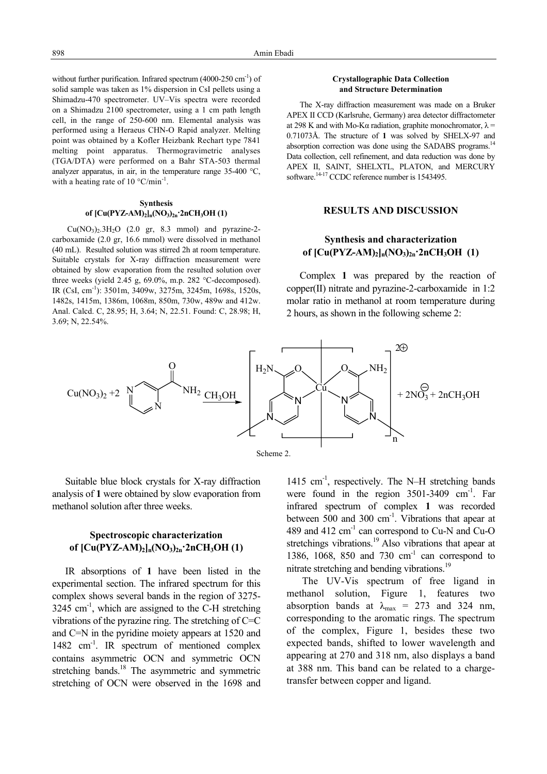without further purification. Infrared spectrum (4000-250 cm<sup>-1</sup>) of solid sample was taken as 1% dispersion in CsI pellets using a Shimadzu-470 spectrometer. UV–Vis spectra were recorded on a Shimadzu 2100 spectrometer, using a 1 cm path length cell, in the range of 250-600 nm. Elemental analysis was performed using a Heraeus CHN-O Rapid analyzer. Melting point was obtained by a Kofler Heizbank Rechart type 7841 melting point apparatus. Thermogravimetric analyses (TGA/DTA) were performed on a Bahr STA-503 thermal analyzer apparatus, in air, in the temperature range 35-400 °C, with a heating rate of  $10^{\circ}$ C/min<sup>-1</sup>.

#### **Synthesis of [Cu(PYZ-AM)2]n(NO3)2n·2nCH3OH (1)**

 $Cu(NO<sub>3</sub>)<sub>2</sub>·3H<sub>2</sub>O$  (2.0 gr, 8.3 mmol) and pyrazine-2carboxamide (2.0 gr, 16.6 mmol) were dissolved in methanol (40 mL). Resulted solution was stirred 2h at room temperature. Suitable crystals for X-ray diffraction measurement were obtained by slow evaporation from the resulted solution over three weeks (yield 2.45 g, 69.0%, m.p. 282 °C-decomposed). IR (CsI, cm-1): 3501m, 3409w, 3275m, 3245m, 1698s, 1520s, 1482s, 1415m, 1386m, 1068m, 850m, 730w, 489w and 412w. Anal. Calcd. C, 28.95; H, 3.64; N, 22.51. Found: C, 28.98; H, 3.69; N, 22.54%.

#### **Crystallographic Data Collection and Structure Determination**

The X-ray diffraction measurement was made on a Bruker APEX II CCD (Karlsruhe, Germany) area detector diffractometer at 298 K and with Mo-Kα radiation, graphite monochromator,  $λ =$ 0.71073Å. The structure of **1** was solved by SHELX-97 and absorption correction was done using the SADABS programs.<sup>14</sup> Data collection, cell refinement, and data reduction was done by APEX II, SAINT, SHELXTL, PLATON, and MERCURY software.<sup>14-17</sup> CCDC reference number is 1543495.

## **RESULTS AND DISCUSSION**

# **Synthesis and characterization**  of  $[Cu(PYZ-AM)_2]_n(NO_3)_{2n}$  2nCH<sub>3</sub>OH (1)

Complex **1** was prepared by the reaction of copper(II) nitrate and pyrazine-2-carboxamide in 1:2 molar ratio in methanol at room temperature during 2 hours, as shown in the following scheme 2:



Suitable blue block crystals for X-ray diffraction analysis of **1** were obtained by slow evaporation from methanol solution after three weeks.

# **Spectroscopic characterization**  of  $\left[\text{Cu}(\text{PYZ-AM})_2\right]_n(\text{NO}_3)_{2n}$ <sup>2</sup>nCH<sub>3</sub>OH (1)

IR absorptions of **1** have been listed in the experimental section. The infrared spectrum for this complex shows several bands in the region of 3275-  $3245$  cm<sup>-1</sup>, which are assigned to the C-H stretching vibrations of the pyrazine ring. The stretching of C=C and C=N in the pyridine moiety appears at 1520 and 1482 cm<sup>-1</sup>. IR spectrum of mentioned complex contains asymmetric OCN and symmetric OCN stretching bands.<sup>18</sup> The asymmetric and symmetric stretching of OCN were observed in the 1698 and

1415 cm<sup>-1</sup>, respectively. The N–H stretching bands were found in the region  $3501-3409$  cm<sup>-1</sup>. Far infrared spectrum of complex **1** was recorded between 500 and 300  $cm^{-1}$ . Vibrations that apear at 489 and 412  $\text{cm}^{-1}$  can correspond to Cu-N and Cu-O stretchings vibrations.<sup>19</sup> Also vibrations that apear at 1386, 1068, 850 and 730  $\text{cm}^{-1}$  can correspond to nitrate stretching and bending vibrations.<sup>19</sup>

 The UV-Vis spectrum of free ligand in methanol solution, Figure 1, features two absorption bands at  $\lambda_{\text{max}}$  = 273 and 324 nm, corresponding to the aromatic rings. The spectrum of the complex, Figure 1, besides these two expected bands, shifted to lower wavelength and appearing at 270 and 318 nm, also displays a band at 388 nm. This band can be related to a chargetransfer between copper and ligand.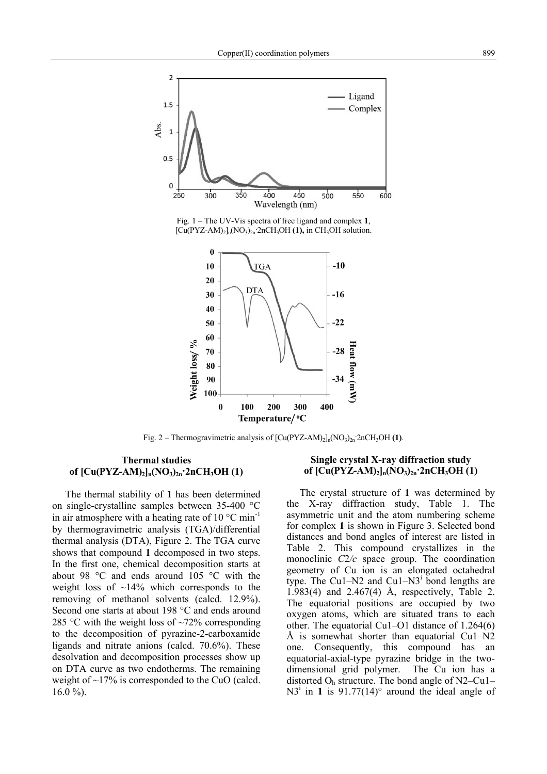

Fig. 1 – The UV-Vis spectra of free ligand and complex **1**,  $[Cu(PYZ-AM)_2]_n[NO_3)_2n$ <sup>2</sup>nCH<sub>3</sub>OH (1), in CH<sub>3</sub>OH solution.

![](_page_2_Figure_3.jpeg)

Fig. 2 – Thermogravimetric analysis of  $\left[\text{Cu}(PYZ-AM)_2\right]_n\left(\text{NO}_3\right)_{2n}$ <sup>2</sup>nCH<sub>3</sub>OH (1).

# **Thermal studies**  of  $\left[\text{Cu}(\text{PYZ-AM})_2\right]_n(\text{NO}_3)_{2n}$ <sup>2</sup>nCH<sub>3</sub>OH (1)

The thermal stability of **1** has been determined on single-crystalline samples between 35-400 °C in air atmosphere with a heating rate of  $10^{\circ}$ C min<sup>-1</sup> by thermogravimetric analysis (TGA)/differential thermal analysis (DTA), Figure 2. The TGA curve shows that compound **1** decomposed in two steps. In the first one, chemical decomposition starts at about 98 °C and ends around 105 °C with the weight loss of  $\sim$ 14% which corresponds to the removing of methanol solvents (calcd. 12.9%). Second one starts at about 198 °C and ends around 285 °C with the weight loss of  $\sim$ 72% corresponding to the decomposition of pyrazine-2-carboxamide ligands and nitrate anions (calcd. 70.6%). These desolvation and decomposition processes show up on DTA curve as two endotherms. The remaining weight of  $\sim$ 17% is corresponded to the CuO (calcd.  $16.0 \%$ ).

## **Single crystal X-ray diffraction study of [Cu(PYZ-AM)2]n(NO3)2n·2nCH3OH (1)**

The crystal structure of **1** was determined by the X-ray diffraction study, Table 1. The asymmetric unit and the atom numbering scheme for complex **1** is shown in Figure 3. Selected bond distances and bond angles of interest are listed in Table 2. This compound crystallizes in the monoclinic *C*2*/c* space group. The coordination geometry of Cu ion is an elongated octahedral type. The Cu1–N2 and Cu1–N3<sup>i</sup> bond lengths are 1.983(4) and 2.467(4) Å, respectively, Table 2. The equatorial positions are occupied by two oxygen atoms, which are situated trans to each other. The equatorial Cu1–O1 distance of 1.264(6) Å is somewhat shorter than equatorial Cu1–N2 one. Consequently, this compound has an equatorial-axial-type pyrazine bridge in the twodimensional grid polymer. The Cu ion has a distorted  $O<sub>h</sub>$  structure. The bond angle of N2–Cu1–  $N3<sup>i</sup>$  in 1 is 91.77(14)° around the ideal angle of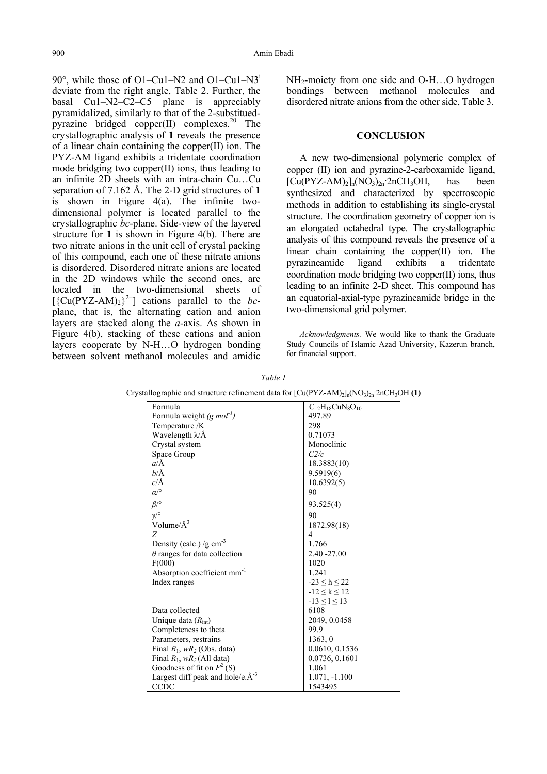90 $^{\circ}$ , while those of O1–Cu1–N2 and O1–Cu1–N3<sup>i</sup> deviate from the right angle, Table 2. Further, the basal Cu1–N2–C2–C5 plane is appreciably pyramidalized, similarly to that of the 2-substituedpyrazine bridged copper(II) complexes.<sup>20</sup> The crystallographic analysis of **1** reveals the presence of a linear chain containing the copper(II) ion. The PYZ-AM ligand exhibits a tridentate coordination mode bridging two copper(II) ions, thus leading to an infinite 2D sheets with an intra-chain Cu…Cu separation of 7.162 Å. The 2-D grid structures of **1**  is shown in Figure 4(a). The infinite twodimensional polymer is located parallel to the crystallographic *bc*-plane. Side-view of the layered structure for **1** is shown in Figure 4(b). There are two nitrate anions in the unit cell of crystal packing of this compound, each one of these nitrate anions is disordered. Disordered nitrate anions are located in the 2D windows while the second ones, are located in the two-dimensional sheets of  $[\{Cu(PYZ-AM)_2\}^{2+}]$  cations parallel to the *bc*plane, that is, the alternating cation and anion layers are stacked along the *a*-axis. As shown in Figure 4(b), stacking of these cations and anion layers cooperate by N-H…O hydrogen bonding between solvent methanol molecules and amidic

NH2-moiety from one side and O-H…O hydrogen bondings between methanol molecules and disordered nitrate anions from the other side, Table 3.

## **CONCLUSION**

A new two-dimensional polymeric complex of copper (II) ion and pyrazine-2-carboxamide ligand,  $[Cu(PYZ-AM)_2]_n(NO_3)_{2n}$ :2nCH<sub>3</sub>OH, has been synthesized and characterized by spectroscopic methods in addition to establishing its single-crystal structure. The coordination geometry of copper ion is an elongated octahedral type. The crystallographic analysis of this compound reveals the presence of a linear chain containing the copper(II) ion. The pyrazineamide ligand exhibits a tridentate coordination mode bridging two copper(II) ions, thus leading to an infinite 2-D sheet. This compound has an equatorial-axial-type pyrazineamide bridge in the two-dimensional grid polymer.

*Acknowledgments.* We would like to thank the Graduate Study Councils of Islamic Azad University, Kazerun branch, for financial support.

| api<br>r. |
|-----------|
|-----------|

| Formula                                 | $C_{12}H_{18}CuN_8O_{10}$ |
|-----------------------------------------|---------------------------|
| Formula weight $(g \text{ mol}^{-1})$   | 497.89                    |
| Temperature /K                          | 298                       |
| Wavelength $\lambda$ /Å                 | 0.71073                   |
| Crystal system                          | Monoclinic                |
| Space Group                             | C2/c                      |
| $a/\text{\AA}$                          | 18.3883(10)               |
| $b/\text{\AA}$                          | 9.5919(6)                 |
| $c/\text{\AA}$                          | 10.6392(5)                |
| $\alpha$ <sup>o</sup>                   | 90                        |
| $\beta$ /°                              | 93.525(4)                 |
| $\gamma$ / $\circ$                      | 90                        |
| Volume/ $\AA^3$                         | 1872.98(18)               |
| Z                                       | $\overline{4}$            |
| Density (calc.) /g cm <sup>3</sup>      | 1.766                     |
| $\theta$ ranges for data collection     | 2.40 -27.00               |
| F(000)                                  | 1020                      |
| Absorption coefficient mm <sup>-1</sup> | 1.241                     |
| Index ranges                            | $-23 \le h \le 22$        |
|                                         | $-12 \leq k \leq 12$      |
|                                         | $-13 \le l \le 13$        |
| Data collected                          | 6108                      |
| Unique data $(R_{\text{int}})$          | 2049, 0.0458              |
| Completeness to theta                   | 99.9                      |
| Parameters, restrains                   | 1363, 0                   |
| Final $R_1$ , w $R_2$ (Obs. data)       | 0.0610, 0.1536            |
| Final $R_1$ , w $R_2$ (All data)        | 0.0736, 0.1601            |
| Goodness of fit on $F^2$ (S)            | 1.061                     |
| Largest diff peak and hole/e. $A^{-3}$  | $1.071, -1.100$           |
| CCDC                                    | 1543495                   |

Crystallographic and structure refinement data for  $\left[\text{Cu}(\text{PYZ-AM})_2\right]_n(\text{NO}_3)_{2n}$ <sup>2</sup>nCH<sub>3</sub>OH (1)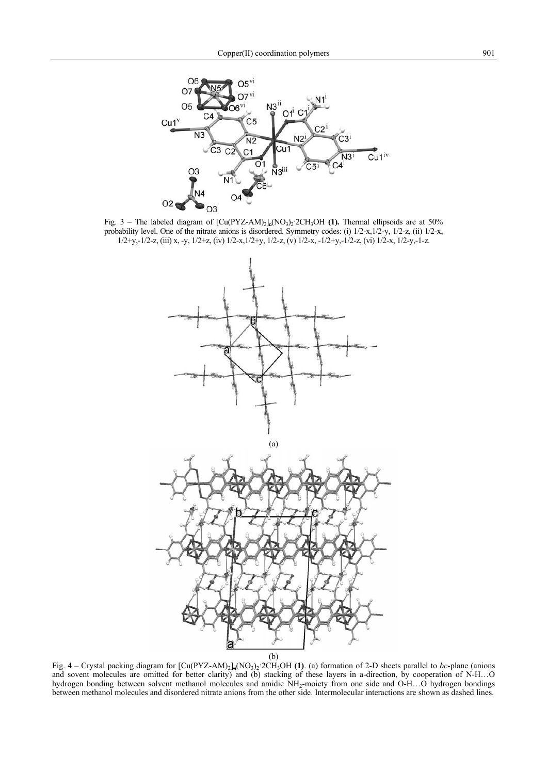![](_page_4_Figure_1.jpeg)

Fig. 3 – The labeled diagram of  $\text{[Cu(PYZ-AM)_2]}_n\text{[NO}_3)_2\text{`2CH}_3\text{OH}$  (1). Thermal ellipsoids are at 50% probability level. One of the nitrate anions is disordered. Symmetry codes: (i) 1/2-x,1/2-y, 1/2-z, (ii) 1/2-x, 1/2+y,-1/2-z, (iii) x, -y, 1/2+z, (iv) 1/2-x,1/2+y, 1/2-z, (v) 1/2-x, -1/2+y,-1/2-z, (vi) 1/2-x, 1/2-y,-1-z.

![](_page_4_Figure_3.jpeg)

Fig. 4 – Crystal packing diagram for  $\left[\text{Cu}(\text{PYZ-AM})_2\right]_n\left(\text{NO}_3\right)_2\cdot 2\text{CH}_3\text{OH}$  (1). (a) formation of 2-D sheets parallel to *bc*-plane (anions and sovent molecules are omitted for better clarity) and (b) stacking of these layers in a-direction, by cooperation of N-H…O hydrogen bonding between solvent methanol molecules and amidic NH<sub>2</sub>-moiety from one side and O-H…O hydrogen bondings between methanol molecules and disordered nitrate anions from the other side. Intermolecular interactions are shown as dashed lines.